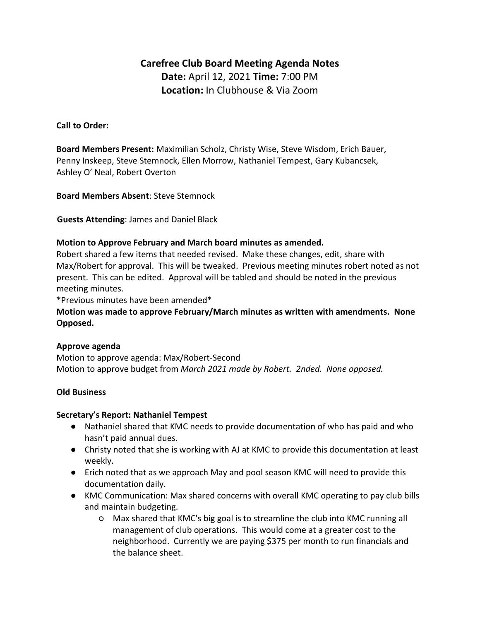# **Carefree Club Board Meeting Agenda Notes Date:** April 12, 2021 **Time:** 7:00 PM **Location:** In Clubhouse & Via Zoom

### **Call to Order:**

**Board Members Present:** Maximilian Scholz, Christy Wise, Steve Wisdom, Erich Bauer, Penny Inskeep, Steve Stemnock, Ellen Morrow, Nathaniel Tempest, Gary Kubancsek, Ashley O' Neal, Robert Overton

**Board Members Absent**: Steve Stemnock

**Guests Attending**: James and Daniel Black

#### **Motion to Approve February and March board minutes as amended.**

Robert shared a few items that needed revised. Make these changes, edit, share with Max/Robert for approval. This will be tweaked. Previous meeting minutes robert noted as not present. This can be edited. Approval will be tabled and should be noted in the previous meeting minutes.

\*Previous minutes have been amended\*

**Motion was made to approve February/March minutes as written with amendments. None Opposed.**

#### **Approve agenda**

Motion to approve agenda: Max/Robert-Second Motion to approve budget from *March 2021 made by Robert. 2nded. None opposed.*

# **Old Business**

#### **Secretary's Report: Nathaniel Tempest**

- Nathaniel shared that KMC needs to provide documentation of who has paid and who hasn't paid annual dues.
- Christy noted that she is working with AJ at KMC to provide this documentation at least weekly.
- Erich noted that as we approach May and pool season KMC will need to provide this documentation daily.
- KMC Communication: Max shared concerns with overall KMC operating to pay club bills and maintain budgeting.
	- Max shared that KMC's big goal is to streamline the club into KMC running all management of club operations. This would come at a greater cost to the neighborhood. Currently we are paying \$375 per month to run financials and the balance sheet.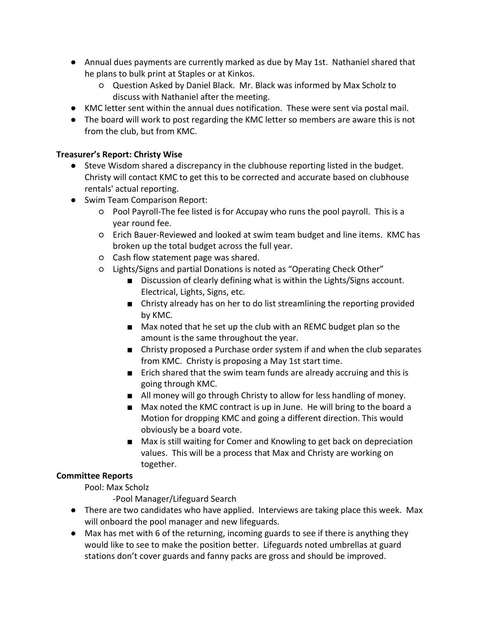- Annual dues payments are currently marked as due by May 1st. Nathaniel shared that he plans to bulk print at Staples or at Kinkos.
	- Question Asked by Daniel Black. Mr. Black was informed by Max Scholz to discuss with Nathaniel after the meeting.
- KMC letter sent within the annual dues notification. These were sent via postal mail.
- The board will work to post regarding the KMC letter so members are aware this is not from the club, but from KMC.

# **Treasurer's Report: Christy Wise**

- Steve Wisdom shared a discrepancy in the clubhouse reporting listed in the budget. Christy will contact KMC to get this to be corrected and accurate based on clubhouse rentals' actual reporting.
- Swim Team Comparison Report:
	- Pool Payroll-The fee listed is for Accupay who runs the pool payroll. This is a year round fee.
	- Erich Bauer-Reviewed and looked at swim team budget and line items. KMC has broken up the total budget across the full year.
	- Cash flow statement page was shared.
	- Lights/Signs and partial Donations is noted as "Operating Check Other"
		- Discussion of clearly defining what is within the Lights/Signs account. Electrical, Lights, Signs, etc.
		- Christy already has on her to do list streamlining the reporting provided by KMC.
		- Max noted that he set up the club with an REMC budget plan so the amount is the same throughout the year.
		- Christy proposed a Purchase order system if and when the club separates from KMC. Christy is proposing a May 1st start time.
		- Erich shared that the swim team funds are already accruing and this is going through KMC.
		- All money will go through Christy to allow for less handling of money.
		- Max noted the KMC contract is up in June. He will bring to the board a Motion for dropping KMC and going a different direction. This would obviously be a board vote.
		- Max is still waiting for Comer and Knowling to get back on depreciation values. This will be a process that Max and Christy are working on together.

# **Committee Reports**

Pool: Max Scholz

-Pool Manager/Lifeguard Search

- There are two candidates who have applied. Interviews are taking place this week. Max will onboard the pool manager and new lifeguards.
- Max has met with 6 of the returning, incoming guards to see if there is anything they would like to see to make the position better. Lifeguards noted umbrellas at guard stations don't cover guards and fanny packs are gross and should be improved.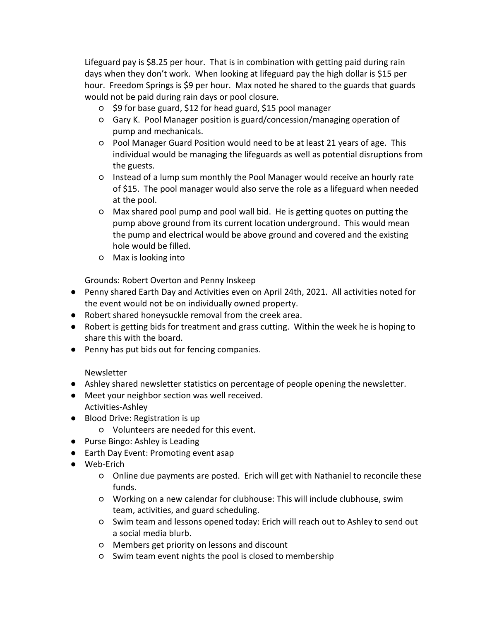Lifeguard pay is \$8.25 per hour. That is in combination with getting paid during rain days when they don't work. When looking at lifeguard pay the high dollar is \$15 per hour. Freedom Springs is \$9 per hour. Max noted he shared to the guards that guards would not be paid during rain days or pool closure.

- \$9 for base guard, \$12 for head guard, \$15 pool manager
- Gary K. Pool Manager position is guard/concession/managing operation of pump and mechanicals.
- Pool Manager Guard Position would need to be at least 21 years of age. This individual would be managing the lifeguards as well as potential disruptions from the guests.
- Instead of a lump sum monthly the Pool Manager would receive an hourly rate of \$15. The pool manager would also serve the role as a lifeguard when needed at the pool.
- Max shared pool pump and pool wall bid. He is getting quotes on putting the pump above ground from its current location underground. This would mean the pump and electrical would be above ground and covered and the existing hole would be filled.
- Max is looking into

Grounds: Robert Overton and Penny Inskeep

- Penny shared Earth Day and Activities even on April 24th, 2021. All activities noted for the event would not be on individually owned property.
- Robert shared honeysuckle removal from the creek area.
- Robert is getting bids for treatment and grass cutting. Within the week he is hoping to share this with the board.
- Penny has put bids out for fencing companies.

Newsletter

- Ashley shared newsletter statistics on percentage of people opening the newsletter.
- Meet your neighbor section was well received. Activities-Ashley
- Blood Drive: Registration is up
	- Volunteers are needed for this event.
- Purse Bingo: Ashley is Leading
- Earth Day Event: Promoting event asap
- Web-Erich
	- Online due payments are posted. Erich will get with Nathaniel to reconcile these funds.
	- Working on a new calendar for clubhouse: This will include clubhouse, swim team, activities, and guard scheduling.
	- Swim team and lessons opened today: Erich will reach out to Ashley to send out a social media blurb.
	- Members get priority on lessons and discount
	- Swim team event nights the pool is closed to membership